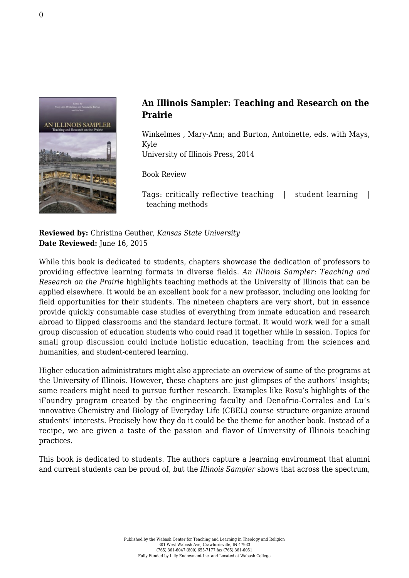

## **An Illinois Sampler: Teaching and Research on the Prairie**

Winkelmes , Mary-Ann; and Burton, Antoinette, eds. with Mays, Kyle [University of Illinois Press, 2014](http://www.press.uillinois.edu/books/catalog/87rsg6yq9780252038648.html)

Book Review

Tags: critically reflective teaching | student learning | teaching methods

**Reviewed by:** Christina Geuther, *Kansas State University* **Date Reviewed:** June 16, 2015

While this book is dedicated to students, chapters showcase the dedication of professors to providing effective learning formats in diverse fields. *An Illinois Sampler: Teaching and Research on the Prairie* highlights teaching methods at the University of Illinois that can be applied elsewhere. It would be an excellent book for a new professor, including one looking for field opportunities for their students. The nineteen chapters are very short, but in essence provide quickly consumable case studies of everything from inmate education and research abroad to flipped classrooms and the standard lecture format. It would work well for a small group discussion of education students who could read it together while in session. Topics for small group discussion could include holistic education, teaching from the sciences and humanities, and student-centered learning.

Higher education administrators might also appreciate an overview of some of the programs at the University of Illinois. However, these chapters are just glimpses of the authors' insights; some readers might need to pursue further research. Examples like Rosu's highlights of the iFoundry program created by the engineering faculty and Denofrio-Corrales and Lu's innovative Chemistry and Biology of Everyday Life (CBEL) course structure organize around students' interests. Precisely how they do it could be the theme for another book. Instead of a recipe, we are given a taste of the passion and flavor of University of Illinois teaching practices.

This book is dedicated to students. The authors capture a learning environment that alumni and current students can be proud of, but the *Illinois Sampler* shows that across the spectrum,